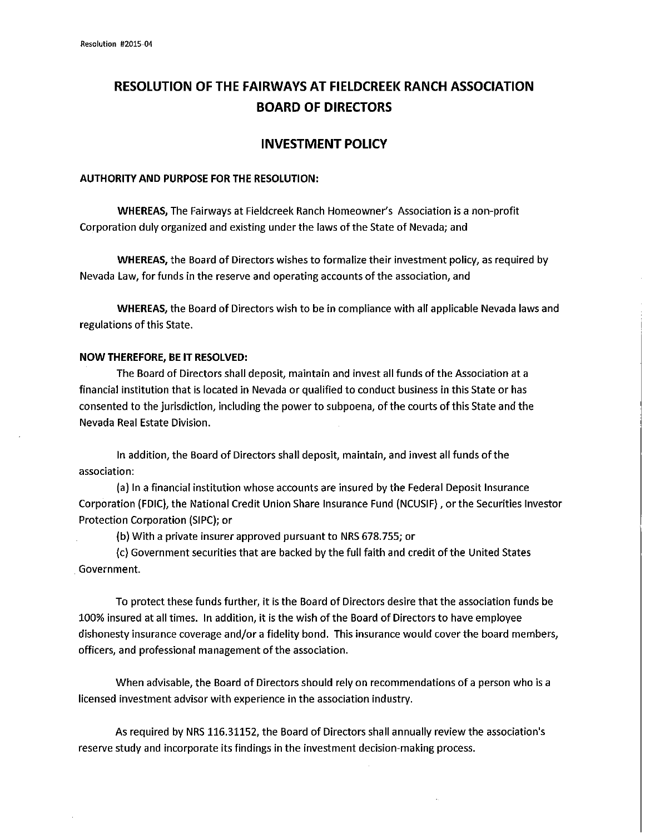## **RESOLUTION OF THE FAIRWAYS AT FIELDCREEK RANCH ASSOCIATION BOARD OF DIRECTORS**

## **INVESTMENT POLICY**

## **AUTHORITY AND PURPOSE FOR THE RESOLUTION:**

**WHEREAS,** The Fairways at Fieldcreek Ranch Homeowner's Association is a non-profit Corporation duly organized and existing under the laws of the State of Nevada; and

**WHEREAS,** the Board of Directors wishes to formalize their investment policy, as required by Nevada Law, for funds in the reserve and operating accounts of the association, and

**WHEREAS,** the Board of Directors wish to be in compliance with all applicable Nevada laws and regulations of this State.

## **NOW THEREFORE, BE IT RESOLVED:**

The Board of Directors shall deposit, maintain and invest all funds of the Association at a financial institution that is located in Nevada or qualified to conduct business in this State or has consented to the jurisdiction, including the power to subpoena, of the courts of this State and the Nevada Real Estate Division.

In addition, the Board of Directors shall deposit, maintain, and invest all funds of the association:

(a) In a financial institution whose accounts are insured by the Federal Deposit Insurance Corporation (FDIC), the National Credit Union Share Insurance Fund (NCUSIF), or the Securities Investor Protection Corporation (SIPC); or

(b) With a private insurer approved pursuant to NRS 678.755; or

(c) Government securities that are backed by the full faith and credit ofthe United States . Government.

To protect these funds further, it is the Board of Directors desire that the association funds be 100% insured at all times. In addition, it is the wish of the Board of Directors to have employee dishonesty insurance coverage and/or a fidelity bond. This insurance would cover the board members, officers, and professional management of the association.

When advisable, the Board of Directors should rely on recommendations of a person who is a licensed investment advisor with experience in the association industry.

As required by NRS 116.31152, the Board of Directors shall annually review the association's reserve study and incorporate its findings in the investment decision-making process.